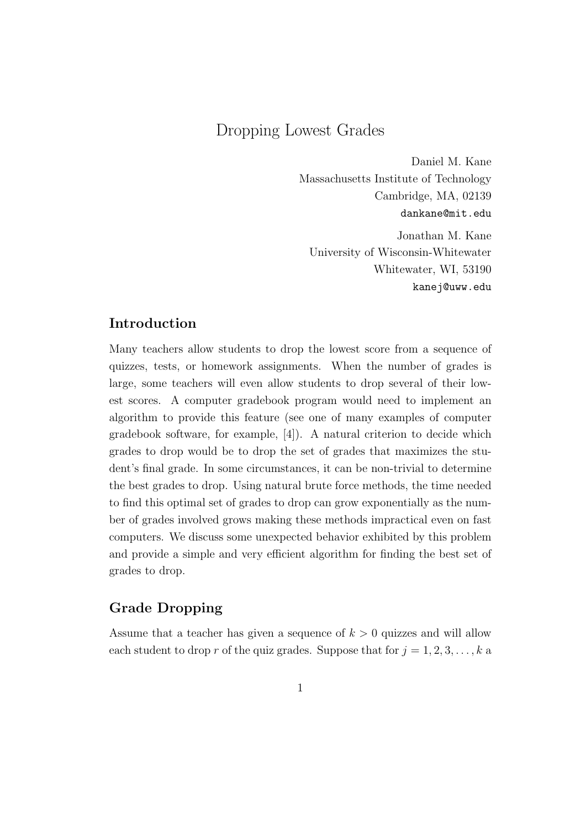## Dropping Lowest Grades

Daniel M. Kane Massachusetts Institute of Technology Cambridge, MA, 02139 dankane@mit.edu

Jonathan M. Kane University of Wisconsin-Whitewater Whitewater, WI, 53190 kanej@uww.edu

## **Introduction**

Many teachers allow students to drop the lowest score from a sequence of quizzes, tests, or homework assignments. When the number of grades is large, some teachers will even allow students to drop several of their lowest scores. A computer gradebook program would need to implement an algorithm to provide this feature (see one of many examples of computer gradebook software, for example, [4]). A natural criterion to decide which grades to drop would be to drop the set of grades that maximizes the student's final grade. In some circumstances, it can be non-trivial to determine the best grades to drop. Using natural brute force methods, the time needed to find this optimal set of grades to drop can grow exponentially as the number of grades involved grows making these methods impractical even on fast computers. We discuss some unexpected behavior exhibited by this problem and provide a simple and very efficient algorithm for finding the best set of grades to drop.

## **Grade Dropping**

Assume that a teacher has given a sequence of *k >* 0 quizzes and will allow each student to drop r of the quiz grades. Suppose that for  $j = 1, 2, 3, \ldots, k$  a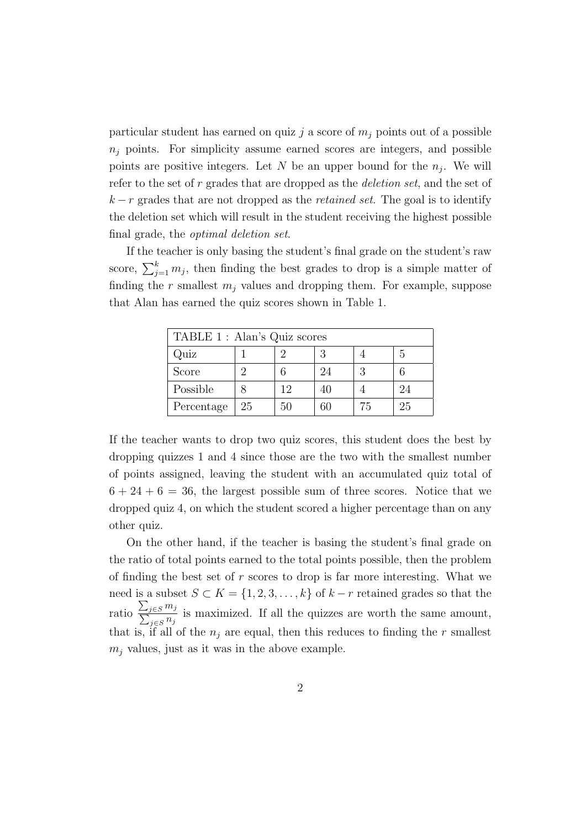particular student has earned on quiz *j* a score of *m<sup>j</sup>* points out of a possible  $n<sub>i</sub>$  points. For simplicity assume earned scores are integers, and possible points are positive integers. Let  $N$  be an upper bound for the  $n_j$ . We will refer to the set of *r* grades that are dropped as the *deletion set*, and the set of *k − r* grades that are not dropped as the *retained set*. The goal is to identify the deletion set which will result in the student receiving the highest possible final grade, the *optimal deletion set*.

If the teacher is only basing the student's final grade on the student's raw score,  $\sum_{j=1}^{k} m_j$ , then finding the best grades to drop is a simple matter of finding the  $r$  smallest  $m_i$  values and dropping them. For example, suppose that Alan has earned the quiz scores shown in Table 1.

| TABLE 1 : Alan's Quiz scores |    |    |    |    |    |
|------------------------------|----|----|----|----|----|
| Quiz                         |    |    |    |    | h  |
| Score                        |    |    | 24 |    |    |
| Possible                     |    | 12 |    |    | 24 |
| Percentage                   | 25 | 50 | 60 | 75 | 25 |

If the teacher wants to drop two quiz scores, this student does the best by dropping quizzes 1 and 4 since those are the two with the smallest number of points assigned, leaving the student with an accumulated quiz total of  $6 + 24 + 6 = 36$ , the largest possible sum of three scores. Notice that we dropped quiz 4, on which the student scored a higher percentage than on any other quiz.

On the other hand, if the teacher is basing the student's final grade on the ratio of total points earned to the total points possible, then the problem of finding the best set of *r* scores to drop is far more interesting. What we need is a subset  $S \subset K = \{1, 2, 3, \ldots, k\}$  of  $k - r$  retained grades so that the ratio ∑  $\frac{\sum_{j \in S} m_j}{\sum_{i \in S} n_i}$  $\frac{j \in S_{ij}}{j \in S_{ij}}$  is maximized. If all the quizzes are worth the same amount, that is, if all of the  $n_j$  are equal, then this reduces to finding the *r* smallest  $m_j$  values, just as it was in the above example.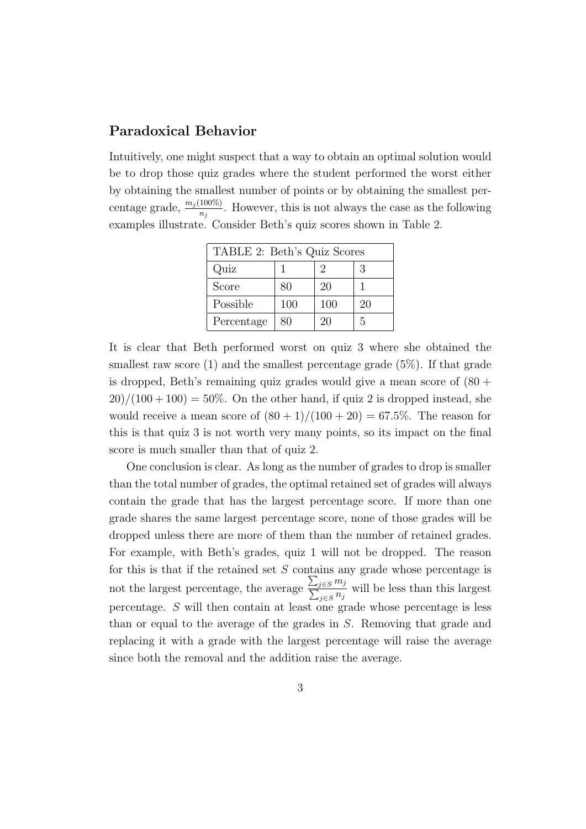## **Paradoxical Behavior**

Intuitively, one might suspect that a way to obtain an optimal solution would be to drop those quiz grades where the student performed the worst either by obtaining the smallest number of points or by obtaining the smallest percentage grade,  $\frac{m_j(100\%)}{n_j}$ . However, this is not always the case as the following examples illustrate. Consider Beth's quiz scores shown in Table 2.

| TABLE 2: Beth's Quiz Scores |     |     |    |  |
|-----------------------------|-----|-----|----|--|
| Quiz                        |     | 2   | 3  |  |
| Score                       | 80  | 20  |    |  |
| Possible                    | 100 | 100 | 20 |  |
| Percentage                  | 80  | 20  | 5  |  |

It is clear that Beth performed worst on quiz 3 where she obtained the smallest raw score  $(1)$  and the smallest percentage grade  $(5\%)$ . If that grade is dropped, Beth's remaining quiz grades would give a mean score of  $(80 +$  $20)/(100+100) = 50\%$ . On the other hand, if quiz 2 is dropped instead, she would receive a mean score of  $(80 + 1)/(100 + 20) = 67.5\%$ . The reason for this is that quiz 3 is not worth very many points, so its impact on the final score is much smaller than that of quiz 2.

One conclusion is clear. As long as the number of grades to drop is smaller than the total number of grades, the optimal retained set of grades will always contain the grade that has the largest percentage score. If more than one grade shares the same largest percentage score, none of those grades will be dropped unless there are more of them than the number of retained grades. For example, with Beth's grades, quiz 1 will not be dropped. The reason for this is that if the retained set *S* contains any grade whose percentage is not the largest percentage, the average ∑  $\frac{\sum_{j \in S} m_j}{\sum_{j \in S} n_j}$  $\frac{j \in S^{n_j}}{j \in S^{n_j}}$  will be less than this largest percentage. *S* will then contain at least one grade whose percentage is less than or equal to the average of the grades in *S*. Removing that grade and replacing it with a grade with the largest percentage will raise the average since both the removal and the addition raise the average.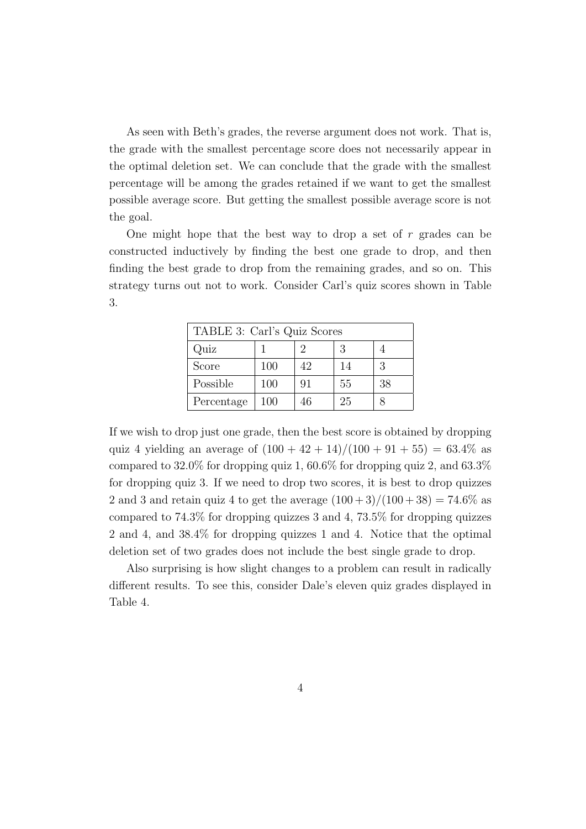As seen with Beth's grades, the reverse argument does not work. That is, the grade with the smallest percentage score does not necessarily appear in the optimal deletion set. We can conclude that the grade with the smallest percentage will be among the grades retained if we want to get the smallest possible average score. But getting the smallest possible average score is not the goal.

One might hope that the best way to drop a set of *r* grades can be constructed inductively by finding the best one grade to drop, and then finding the best grade to drop from the remaining grades, and so on. This strategy turns out not to work. Consider Carl's quiz scores shown in Table 3.

| TABLE 3: Carl's Quiz Scores |     |    |    |    |
|-----------------------------|-----|----|----|----|
| Quiz                        |     |    | 3  |    |
| Score                       | 100 | 42 | 14 | 3  |
| Possible                    | 100 | 91 | 55 | 38 |
| Percentage                  | 100 | 46 | 25 |    |

If we wish to drop just one grade, then the best score is obtained by dropping quiz 4 yielding an average of  $(100 + 42 + 14)/(100 + 91 + 55) = 63.4\%$  as compared to 32*.*0% for dropping quiz 1, 60*.*6% for dropping quiz 2, and 63*.*3% for dropping quiz 3. If we need to drop two scores, it is best to drop quizzes 2 and 3 and retain quiz 4 to get the average  $(100+3)/(100+38) = 74.6\%$  as compared to 74*.*3% for dropping quizzes 3 and 4, 73*.*5% for dropping quizzes 2 and 4, and 38*.*4% for dropping quizzes 1 and 4. Notice that the optimal deletion set of two grades does not include the best single grade to drop.

Also surprising is how slight changes to a problem can result in radically different results. To see this, consider Dale's eleven quiz grades displayed in Table 4.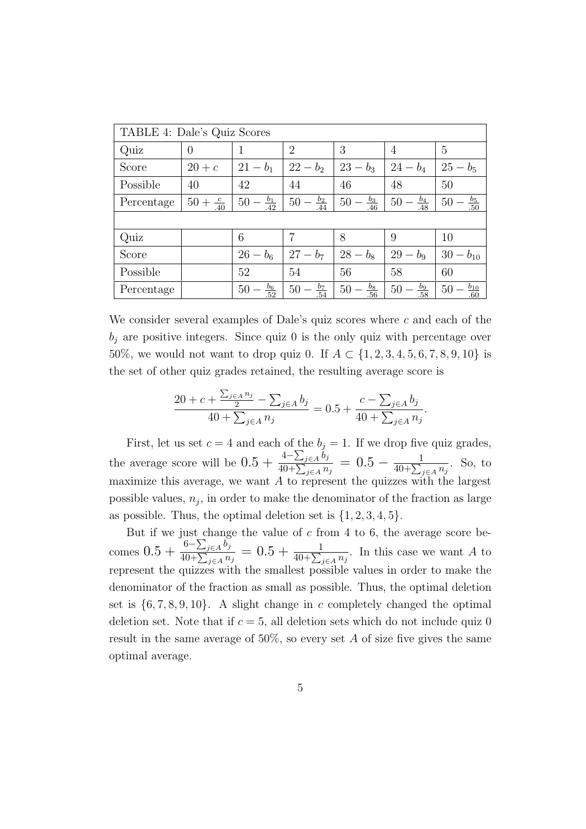| TABLE 4: Dale's Quiz Scores |                      |                       |                               |                         |                         |                         |
|-----------------------------|----------------------|-----------------------|-------------------------------|-------------------------|-------------------------|-------------------------|
| Quiz                        | $\overline{0}$       |                       | $\overline{2}$                | 3                       | $\overline{4}$          | $\overline{5}$          |
| Score                       | $20+c$               | $21 - b_1$            | $22 - b_2$                    | $23 - b_3$              | $24 - b_4$              | $25 - b_5$              |
| Possible                    | 40                   | 42                    | 44                            | 46                      | 48                      | 50                      |
| Percentage                  | $50 + \frac{c}{.40}$ | $rac{b_1}{.42}$<br>50 | $-\frac{\bar{b}_2}{44}$<br>50 | $\frac{b_3}{.46}$<br>50 | $\frac{b_4}{.48}$<br>50 | $rac{b_5}{.50}$<br>50   |
|                             |                      |                       |                               |                         |                         |                         |
| Quiz                        |                      | 6                     | 7                             | 8                       | 9                       | 10                      |
| Score                       |                      | $26 - b_6$            | $27 - b_7$                    | $28 - b_8$              | $29 - b_9$              | $30 - b_{10}$           |
| Possible                    |                      | 52                    | 54                            | 56                      | 58                      | 60                      |
| Percentage                  |                      | $rac{b_6}{52}$<br>50  | $rac{b_7}{.54}$<br>50         | $rac{b_8}{.56}$<br>50   | $rac{b_9}{.58}$<br>50   | $rac{b_{10}}{60}$<br>50 |

We consider several examples of Dale's quiz scores where *c* and each of the  $b_j$  are positive integers. Since quiz 0 is the only quiz with percentage over 50%, we would not want to drop quiz 0. If  $A \subset \{1, 2, 3, 4, 5, 6, 7, 8, 9, 10\}$  is the set of other quiz grades retained, the resulting average score is

$$
\frac{20 + c + \frac{\sum_{j \in A} n_j}{2} - \sum_{j \in A} b_j}{40 + \sum_{j \in A} n_j} = 0.5 + \frac{c - \sum_{j \in A} b_j}{40 + \sum_{j \in A} n_j}.
$$

First, let us set  $c = 4$  and each of the  $b_j = 1$ . If we drop five quiz grades, the average score will be  $0.5 + \frac{4 - \sum_{j \in A} b_j}{40 + \sum_j a_j}$ 40+∑ *<sup>j</sup>∈<sup>A</sup> <sup>n</sup><sup>j</sup>*  $= 0.5 - \frac{1}{40 + \sum_{ }^{\infty}}$  $\frac{1}{40+\sum_{j\in A}n_j}$ . So, to maximize this average, we want *A* to represent the quizzes with the largest possible values,  $n_j$ , in order to make the denominator of the fraction as large as possible. Thus, the optimal deletion set is  $\{1, 2, 3, 4, 5\}$ .

But if we just change the value of *c* from 4 to 6, the average score be- $\frac{6 - \sum_{j \in A} b_j}{40 + \sum_{j \in A} a_j}$ 40+∑ *<sup>j</sup>∈<sup>A</sup> <sup>n</sup><sup>j</sup>*  $= 0.5 + \frac{1}{40 + \sum_{j \in A} n_j}$ . In this case we want *A* to represent the quizzes with the smallest possible values in order to make the denominator of the fraction as small as possible. Thus, the optimal deletion set is  $\{6, 7, 8, 9, 10\}$ . A slight change in *c* completely changed the optimal deletion set. Note that if  $c = 5$ , all deletion sets which do not include quiz 0 result in the same average of  $50\%$ , so every set *A* of size five gives the same optimal average.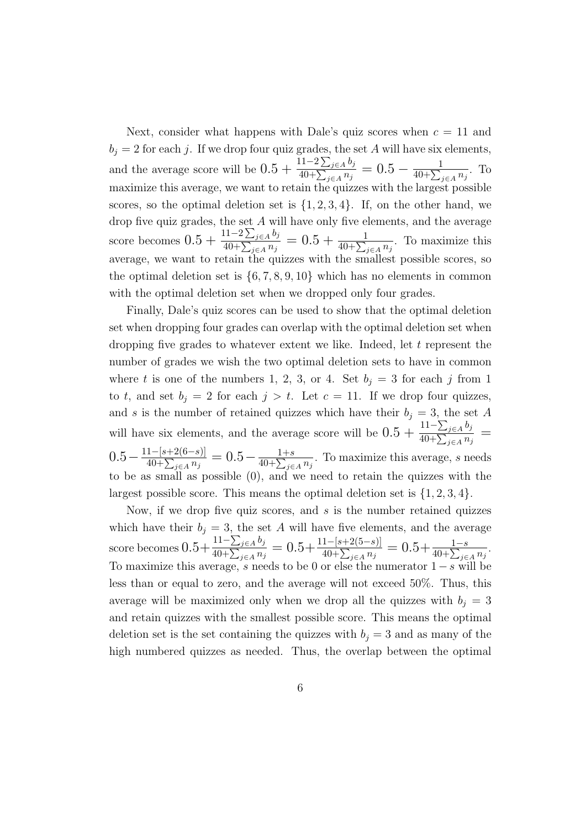Next, consider what happens with Dale's quiz scores when  $c = 11$  and  $b_i = 2$  for each *j*. If we drop four quiz grades, the set *A* will have six elements, and the average score will be  $0.5 + \frac{11-2\sum_{j\in A} b_j}{40+ \sum_{j\in A} a_j}$ 40+∑ *<sup>j</sup>∈<sup>A</sup> <sup>n</sup><sup>j</sup>*  $= 0.5 - \frac{1}{40 + \sum_{ }^{\infty}}$  $\frac{1}{40+\sum_{j\in A}n_j}$ . To maximize this average, we want to retain the quizzes with the largest possible scores, so the optimal deletion set is  $\{1, 2, 3, 4\}$ . If, on the other hand, we drop five quiz grades, the set *A* will have only five elements, and the average score becomes  $0.5 + \frac{11-2\sum_{j\in A}b_j}{40+\sum_{j\in A}a_j}$ 40+∑ *<sup>j</sup>∈<sup>A</sup> <sup>n</sup><sup>j</sup>*  $= 0.5 + \frac{1}{40 + \sum_{j \in A} n_j}$ . To maximize this average, we want to retain the quizzes with the smallest possible scores, so the optimal deletion set is *{*6*,* 7*,* 8*,* 9*,* 10*}* which has no elements in common with the optimal deletion set when we dropped only four grades.

Finally, Dale's quiz scores can be used to show that the optimal deletion set when dropping four grades can overlap with the optimal deletion set when dropping five grades to whatever extent we like. Indeed, let *t* represent the number of grades we wish the two optimal deletion sets to have in common where *t* is one of the numbers 1, 2, 3, or 4. Set  $b_j = 3$  for each *j* from 1 to *t*, and set  $b_j = 2$  for each  $j > t$ . Let  $c = 11$ . If we drop four quizzes, and *s* is the number of retained quizzes which have their  $b_j = 3$ , the set *A* will have six elements, and the average score will be  $0.5 + \frac{11 - \sum_{j \in A} b_j}{40 + \sum_{j \in A} b_j}$ 40+∑ *<sup>j</sup>∈<sup>A</sup> <sup>n</sup><sup>j</sup>* =  $0.5 - \frac{11 - [s + 2(6 - s)]}{40 + \sum_{n \geq 0} a_n}$ 40+∑ *<sup>j</sup>∈<sup>A</sup> <sup>n</sup><sup>j</sup>*  $= 0.5 - \frac{1+s}{40+s}$  $\frac{1+s}{40+\sum_{j\in A}n_j}$ . To maximize this average, *s* needs to be as small as possible (0), and we need to retain the quizzes with the largest possible score. This means the optimal deletion set is *{*1*,* 2*,* 3*,* 4*}*.

Now, if we drop five quiz scores, and *s* is the number retained quizzes which have their  $b_j = 3$ , the set *A* will have five elements, and the average score becomes  $0.5+\frac{11-\sum_{j\in A}b_j}{40+\sum_{j\in A}a_j}$ 40+∑ *<sup>j</sup>∈<sup>A</sup> <sup>n</sup><sup>j</sup>*  $= 0.5 + \frac{11-[s+2(5-s)]}{40+\sum_{j\in A}n_j}$  $= 0.5 + \frac{1-s}{40 + \sum_{j \in A} n_j}$ . To maximize this average, *s* needs to be 0 or else the numerator 1*−s* will be less than or equal to zero, and the average will not exceed 50%. Thus, this average will be maximized only when we drop all the quizzes with  $b_j = 3$ and retain quizzes with the smallest possible score. This means the optimal deletion set is the set containing the quizzes with  $b_j = 3$  and as many of the high numbered quizzes as needed. Thus, the overlap between the optimal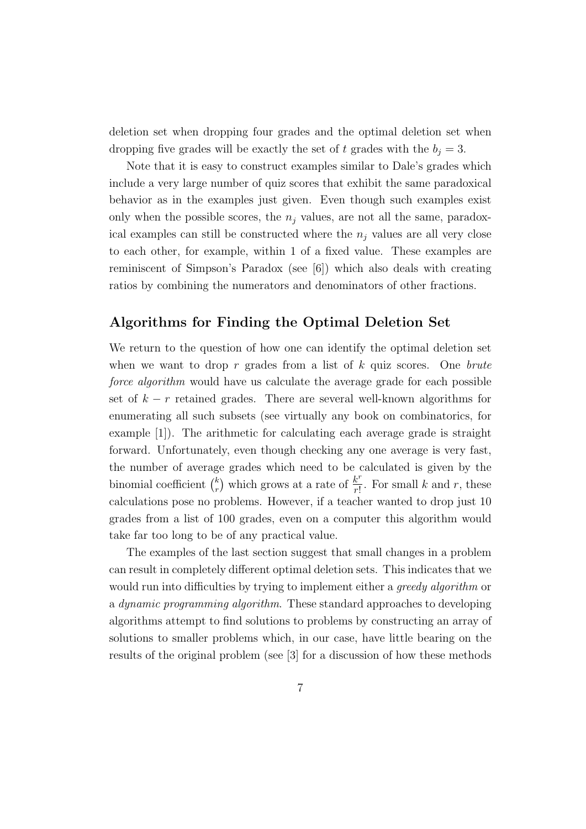deletion set when dropping four grades and the optimal deletion set when dropping five grades will be exactly the set of *t* grades with the  $b_j = 3$ .

Note that it is easy to construct examples similar to Dale's grades which include a very large number of quiz scores that exhibit the same paradoxical behavior as in the examples just given. Even though such examples exist only when the possible scores, the  $n_j$  values, are not all the same, paradoxical examples can still be constructed where the  $n_j$  values are all very close to each other, for example, within 1 of a fixed value. These examples are reminiscent of Simpson's Paradox (see [6]) which also deals with creating ratios by combining the numerators and denominators of other fractions.

## **Algorithms for Finding the Optimal Deletion Set**

We return to the question of how one can identify the optimal deletion set when we want to drop *r* grades from a list of *k* quiz scores. One *brute force algorithm* would have us calculate the average grade for each possible set of *k − r* retained grades. There are several well-known algorithms for enumerating all such subsets (see virtually any book on combinatorics, for example [1]). The arithmetic for calculating each average grade is straight forward. Unfortunately, even though checking any one average is very fast, the number of average grades which need to be calculated is given by the binomial coefficient ( *k*  $\binom{k}{r}$  which grows at a rate of  $\frac{k^r}{r!}$  $\frac{k}{r!}$ . For small *k* and *r*, these calculations pose no problems. However, if a teacher wanted to drop just 10 grades from a list of 100 grades, even on a computer this algorithm would take far too long to be of any practical value.

The examples of the last section suggest that small changes in a problem can result in completely different optimal deletion sets. This indicates that we would run into difficulties by trying to implement either a *greedy algorithm* or a *dynamic programming algorithm*. These standard approaches to developing algorithms attempt to find solutions to problems by constructing an array of solutions to smaller problems which, in our case, have little bearing on the results of the original problem (see [3] for a discussion of how these methods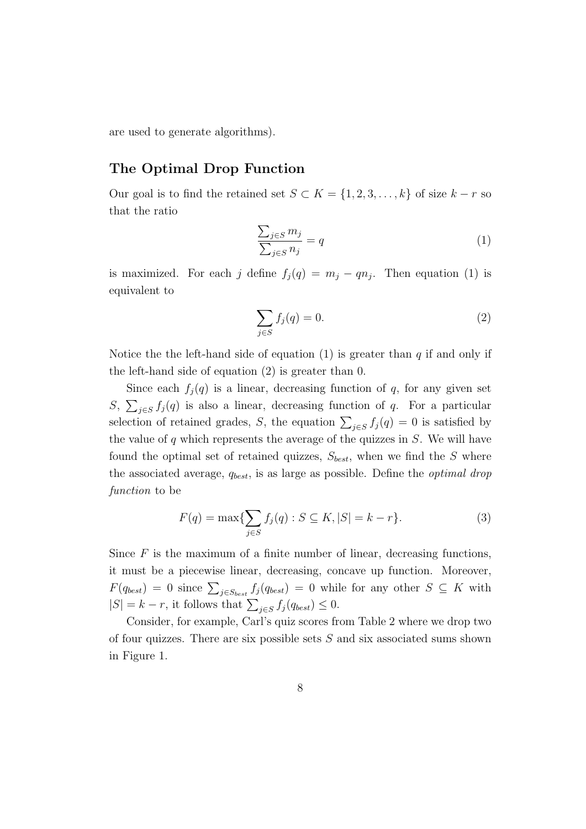are used to generate algorithms).

## **The Optimal Drop Function**

Our goal is to find the retained set  $S \subset K = \{1, 2, 3, \ldots, k\}$  of size  $k - r$  so that the ratio

$$
\frac{\sum_{j \in S} m_j}{\sum_{j \in S} n_j} = q \tag{1}
$$

is maximized. For each *j* define  $f_j(q) = m_j - qn_j$ . Then equation (1) is equivalent to

$$
\sum_{j \in S} f_j(q) = 0. \tag{2}
$$

Notice the the left-hand side of equation (1) is greater than *q* if and only if the left-hand side of equation (2) is greater than 0.

Since each  $f_i(q)$  is a linear, decreasing function of q, for any given set S,  $\sum_{j \in S} f_j(q)$  is also a linear, decreasing function of *q*. For a particular selection of retained grades, *S*, the equation  $\sum_{j \in S} f_j(q) = 0$  is satisfied by the value of *q* which represents the average of the quizzes in *S*. We will have found the optimal set of retained quizzes, *Sbest*, when we find the *S* where the associated average, *qbest*, is as large as possible. Define the *optimal drop function* to be

$$
F(q) = \max\{\sum_{j \in S} f_j(q) : S \subseteq K, |S| = k - r\}.
$$
 (3)

Since  $F$  is the maximum of a finite number of linear, decreasing functions, it must be a piecewise linear, decreasing, concave up function. Moreover,  $F(q_{best}) = 0$  since  $\sum_{j \in S_{best}} f_j(q_{best}) = 0$  while for any other  $S \subseteq K$  with  $|S| = k - r$ , it follows that  $\sum_{j \in S} f_j(q_{best}) \leq 0$ .

Consider, for example, Carl's quiz scores from Table 2 where we drop two of four quizzes. There are six possible sets *S* and six associated sums shown in Figure 1.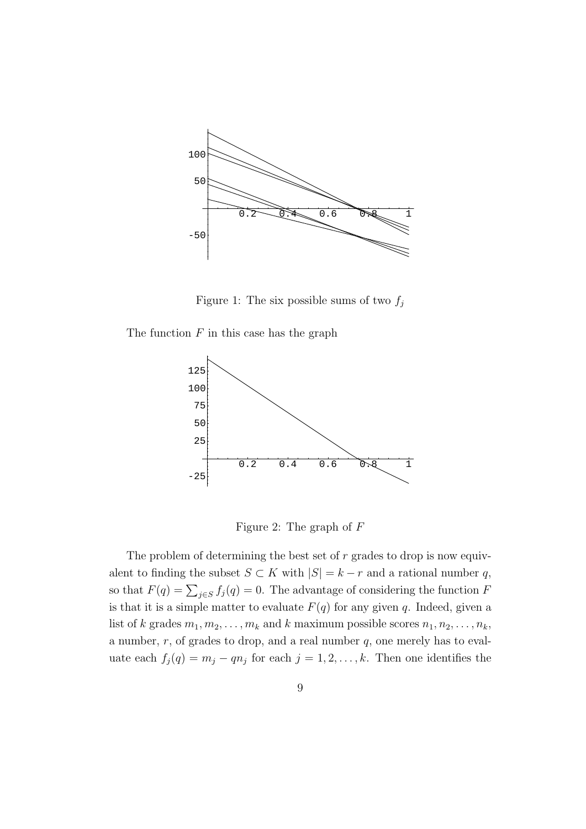

Figure 1: The six possible sums of two  $f_j$ 

The function *F* in this case has the graph



Figure 2: The graph of *F*

The problem of determining the best set of *r* grades to drop is now equivalent to finding the subset  $S \subset K$  with  $|S| = k - r$  and a rational number *q*, so that  $F(q) = \sum_{j \in S} f_j(q) = 0$ . The advantage of considering the function *F* is that it is a simple matter to evaluate  $F(q)$  for any given *q*. Indeed, given a list of *k* grades  $m_1, m_2, \ldots, m_k$  and *k* maximum possible scores  $n_1, n_2, \ldots, n_k$ , a number, *r*, of grades to drop, and a real number *q*, one merely has to evaluate each  $f_j(q) = m_j - qn_j$  for each  $j = 1, 2, \ldots, k$ . Then one identifies the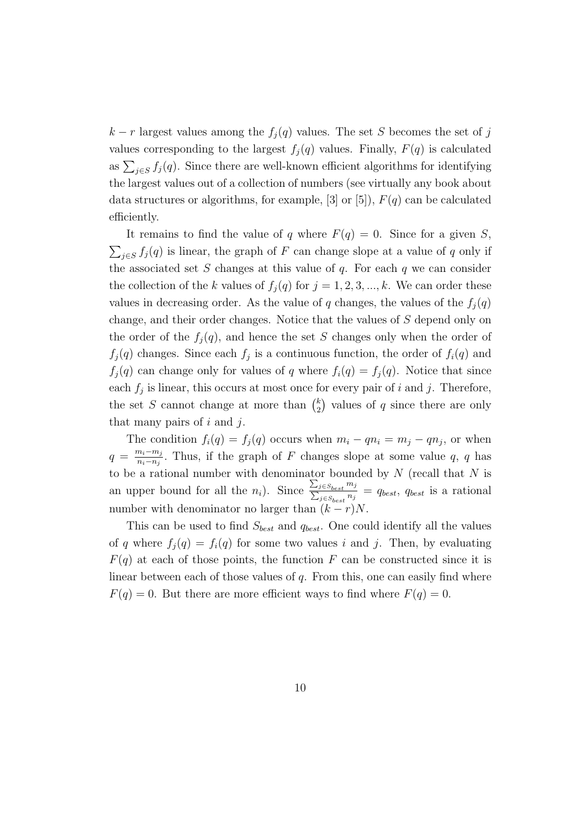$k - r$  largest values among the  $f_j(q)$  values. The set *S* becomes the set of *j* values corresponding to the largest  $f_i(q)$  values. Finally,  $F(q)$  is calculated as  $\sum_{j \in S} f_j(q)$ . Since there are well-known efficient algorithms for identifying the largest values out of a collection of numbers (see virtually any book about data structures or algorithms, for example,  $[3]$  or  $[5]$ ),  $F(q)$  can be calculated efficiently.

It remains to find the value of *q* where  $F(q) = 0$ . Since for a given *S*,  $\sum_{j \in S} f_j(q)$  is linear, the graph of *F* can change slope at a value of *q* only if the associated set *S* changes at this value of *q*. For each *q* we can consider the collection of the *k* values of  $f_i(q)$  for  $j = 1, 2, 3, ..., k$ . We can order these values in decreasing order. As the value of *q* changes, the values of the  $f_i(q)$ change, and their order changes. Notice that the values of *S* depend only on the order of the  $f_j(q)$ , and hence the set *S* changes only when the order of  $f_j(q)$  changes. Since each  $f_j$  is a continuous function, the order of  $f_i(q)$  and  $f_i(q)$  can change only for values of *q* where  $f_i(q) = f_i(q)$ . Notice that since each  $f_j$  is linear, this occurs at most once for every pair of  $i$  and  $j$ . Therefore, the set *S* cannot change at more than  $\binom{k}{2}$  $\binom{k}{2}$  values of *q* since there are only that many pairs of *i* and *j*.

The condition  $f_i(q) = f_j(q)$  occurs when  $m_i - qn_i = m_j - qn_j$ , or when  $q = \frac{m_i - m_j}{n_i - n_j}$  $\frac{n_i - m_j}{n_i - n_j}$ . Thus, if the graph of *F* changes slope at some value *q*, *q* has to be a rational number with denominator bounded by *N* (recall that *N* is an upper bound for all the  $n_i$ ). Since  $\frac{\sum_{j \in S_{best}} m_j}{\sum_{j \in S_{best}} n_j}$  $\frac{\sum_{j \in S_{best}} m_j}{\sum_{j \in S_{best}} n_j} = q_{best}, q_{best}$  is a rational number with denominator no larger than  $(k - r)N$ .

This can be used to find *Sbest* and *qbest*. One could identify all the values of *q* where  $f_i(q) = f_i(q)$  for some two values *i* and *j*. Then, by evaluating  $F(q)$  at each of those points, the function *F* can be constructed since it is linear between each of those values of *q*. From this, one can easily find where  $F(q) = 0$ . But there are more efficient ways to find where  $F(q) = 0$ .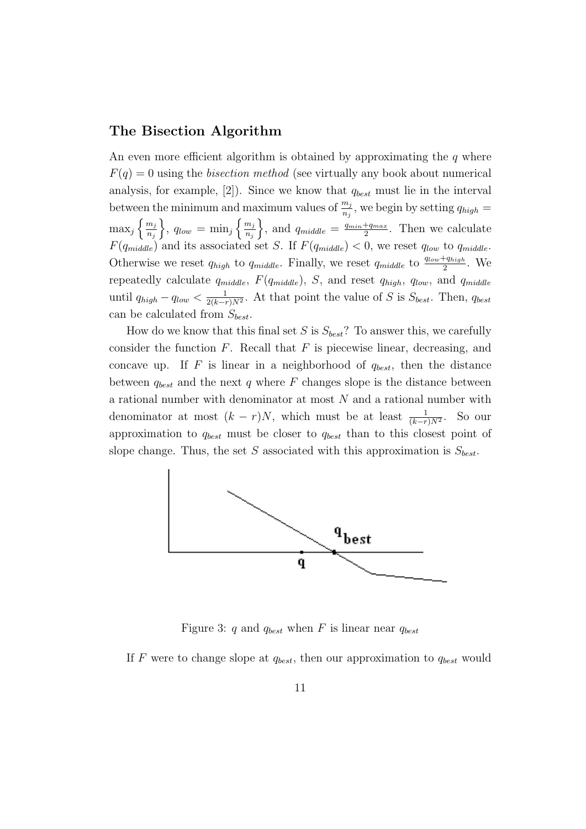#### **The Bisection Algorithm**

An even more efficient algorithm is obtained by approximating the *q* where  $F(q) = 0$  using the *bisection method* (see virtually any book about numerical analysis, for example, [2]). Since we know that *qbest* must lie in the interval between the minimum and maximum values of  $\frac{m_j}{n_j}$ , we begin by setting  $q_{high} =$  $\max_j \left\{ \frac{m_j}{n_j} \right\}$ *nj*  $\left\{ \Omega, q_{low} = \min_j \left\{ \frac{m_j}{n_j} \right\} \right\}$ *nj*  $\left\{ \right\}$ , and  $q_{middle} = \frac{q_{min} + q_{max}}{2}$  $rac{+q_{max}}{2}$ . Then we calculate  $F(q_{middle})$  and its associated set *S*. If  $F(q_{middle}) < 0$ , we reset  $q_{low}$  to  $q_{middle}$ . Otherwise we reset  $q_{high}$  to  $q_{middle}$ . Finally, we reset  $q_{middle}$  to  $\frac{q_{low} + q_{high}}{2}$ . We repeatedly calculate *qmiddle*, *F*(*qmiddle*), *S*, and reset *qhigh*, *qlow*, and *qmiddle* until *qhigh − qlow <* 1  $\frac{1}{2(k-r)N^2}$ . At that point the value of *S* is *S*<sub>*best*</sub>. Then, *q<sub>best</sub>* can be calculated from *Sbest*.

How do we know that this final set *S* is *Sbest*? To answer this, we carefully consider the function *F*. Recall that *F* is piecewise linear, decreasing, and concave up. If  $F$  is linear in a neighborhood of  $q_{best}$ , then the distance between  $q_{best}$  and the next  $q$  where  $F$  changes slope is the distance between a rational number with denominator at most *N* and a rational number with denominator at most  $(k - r)N$ , which must be at least  $\frac{1}{(k-r)N^2}$ . So our approximation to *qbest* must be closer to *qbest* than to this closest point of slope change. Thus, the set *S* associated with this approximation is *Sbest*.



Figure 3: *q* and *qbest* when *F* is linear near *qbest*

If  $F$  were to change slope at  $q_{best}$ , then our approximation to  $q_{best}$  would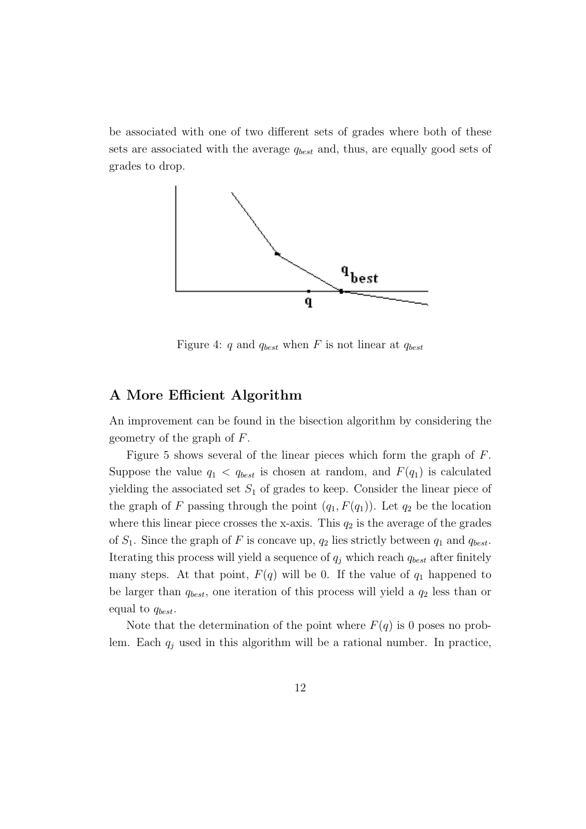be associated with one of two different sets of grades where both of these sets are associated with the average *qbest* and, thus, are equally good sets of grades to drop.



Figure 4: *q* and *qbest* when *F* is not linear at *qbest*

## **A More Efficient Algorithm**

An improvement can be found in the bisection algorithm by considering the geometry of the graph of *F*.

Figure 5 shows several of the linear pieces which form the graph of *F*. Suppose the value  $q_1$  <  $q_{best}$  is chosen at random, and  $F(q_1)$  is calculated yielding the associated set *S*<sup>1</sup> of grades to keep. Consider the linear piece of the graph of *F* passing through the point  $(q_1, F(q_1))$ . Let  $q_2$  be the location where this linear piece crosses the x-axis. This  $q_2$  is the average of the grades of  $S_1$ . Since the graph of F is concave up,  $q_2$  lies strictly between  $q_1$  and  $q_{best}$ . Iterating this process will yield a sequence of  $q_j$  which reach  $q_{best}$  after finitely many steps. At that point,  $F(q)$  will be 0. If the value of  $q_1$  happened to be larger than *qbest*, one iteration of this process will yield a *q*<sup>2</sup> less than or equal to *qbest*.

Note that the determination of the point where  $F(q)$  is 0 poses no problem. Each  $q_j$  used in this algorithm will be a rational number. In practice,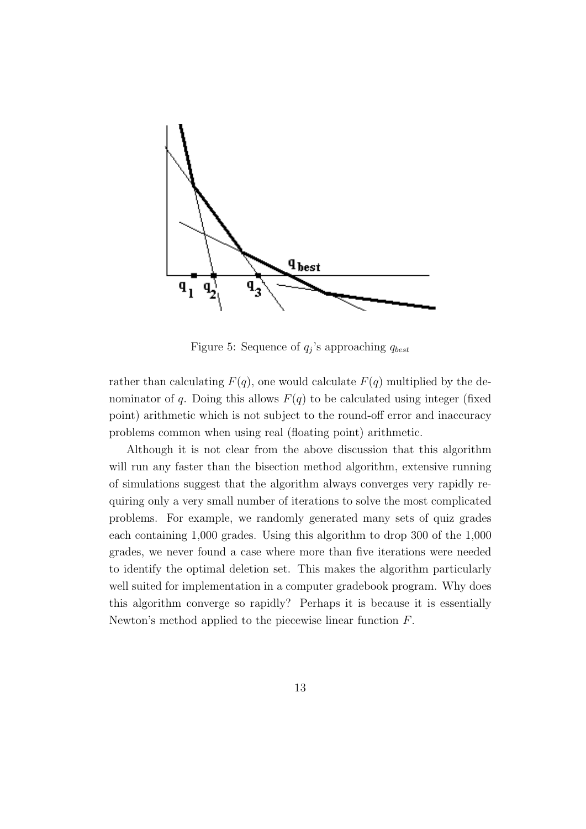

Figure 5: Sequence of *q<sup>j</sup>* 's approaching *qbest*

rather than calculating  $F(q)$ , one would calculate  $F(q)$  multiplied by the denominator of *q*. Doing this allows  $F(q)$  to be calculated using integer (fixed point) arithmetic which is not subject to the round-off error and inaccuracy problems common when using real (floating point) arithmetic.

Although it is not clear from the above discussion that this algorithm will run any faster than the bisection method algorithm, extensive running of simulations suggest that the algorithm always converges very rapidly requiring only a very small number of iterations to solve the most complicated problems. For example, we randomly generated many sets of quiz grades each containing 1,000 grades. Using this algorithm to drop 300 of the 1,000 grades, we never found a case where more than five iterations were needed to identify the optimal deletion set. This makes the algorithm particularly well suited for implementation in a computer gradebook program. Why does this algorithm converge so rapidly? Perhaps it is because it is essentially Newton's method applied to the piecewise linear function *F*.